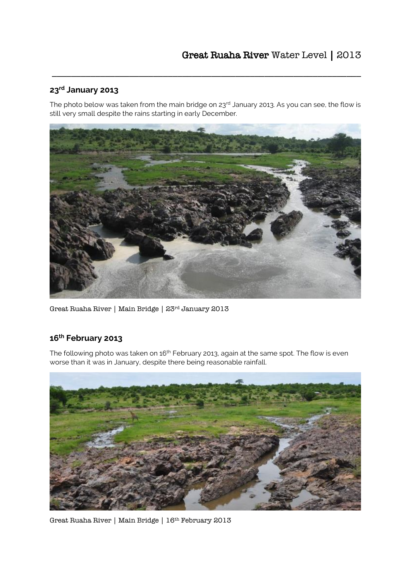## **23rd January 2013**

The photo below was taken from the main bridge on 23<sup>rd</sup> January 2013. As you can see, the flow is still very small despite the rains starting in early December.

\_\_\_\_\_\_\_\_\_\_\_\_\_\_\_\_\_\_\_\_\_\_\_\_\_\_\_\_\_\_\_\_\_\_\_\_\_\_\_\_\_\_\_\_\_\_\_\_\_\_\_\_\_\_\_\_\_\_\_\_\_\_\_\_



Great Ruaha River | Main Bridge | 23rd January 2013

## **16th February 2013**

The following photo was taken on 16<sup>th</sup> February 2013, again at the same spot. The flow is even worse than it was in January, despite there being reasonable rainfall.



Great Ruaha River | Main Bridge | 16th February 2013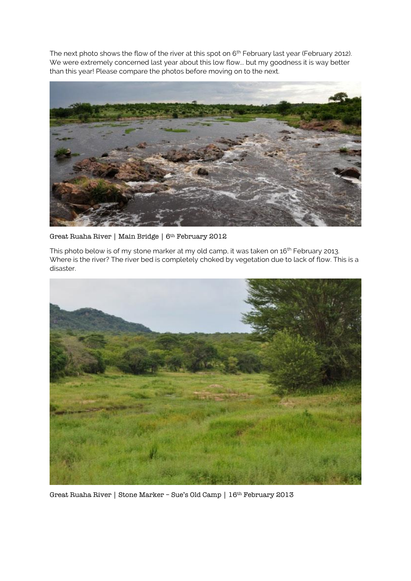The next photo shows the flow of the river at this spot on 6<sup>th</sup> February last year (February 2012). We were extremely concerned last year about this low flow... but my goodness it is way better than this year! Please compare the photos before moving on to the next.



Great Ruaha River | Main Bridge | 6<sup>th</sup> February 2012

This photo below is of my stone marker at my old camp, it was taken on 16<sup>th</sup> February 2013. Where is the river? The river bed is completely choked by vegetation due to lack of flow. This is a disaster.



Great Ruaha River | Stone Marker – Sue's Old Camp | 16th February 2013